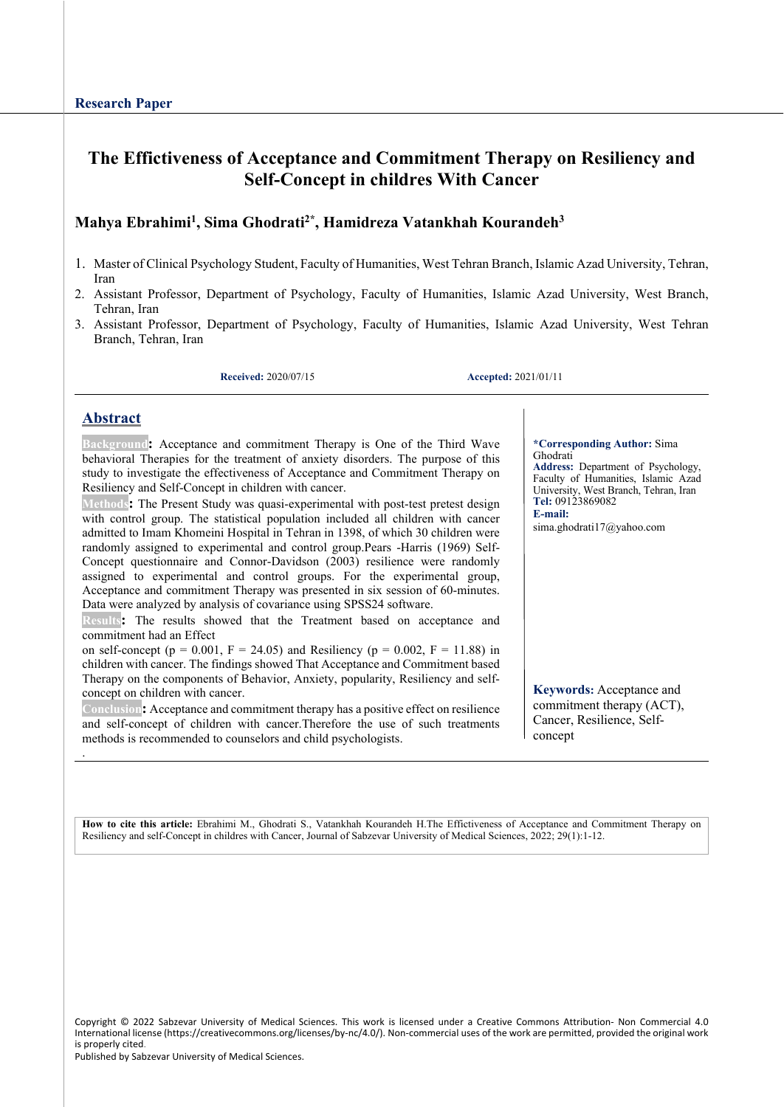# **The Effictiveness of Acceptance and Commitment Therapy on Resiliency and Self-Concept in childres With Cancer**

## **Mahya Ebrahimi1, Sima Ghodrati2\*, Hamidreza Vatankhah Kourandeh3**

- 1. Master of Clinical Psychology Student, Faculty of Humanities, West Tehran Branch, Islamic Azad University, Tehran, Iran
- 2. Assistant Professor, Department of Psychology, Faculty of Humanities, Islamic Azad University, West Branch, Tehran, Iran
- 3. Assistant Professor, Department of Psychology, Faculty of Humanities, Islamic Azad University, West Tehran Branch, Tehran, Iran

**Received:** 2020/07/15 **Accepted:** 2021/01/11

Ghodrati

**E-mail:** 

**Tel:** 09123869082

## **Abstract**

.

**Background:** Acceptance and commitment Therapy is One of the Third Wave behavioral Therapies for the treatment of anxiety disorders. The purpose of this study to investigate the effectiveness of Acceptance and Commitment Therapy on Resiliency and Self-Concept in children with cancer.

**Methods:** The Present Study was quasi-experimental with post-test pretest design with control group. The statistical population included all children with cancer admitted to Imam Khomeini Hospital in Tehran in 1398, of which 30 children were randomly assigned to experimental and control group.Pears -Harris (1969) Self-Concept questionnaire and Connor-Davidson (2003) resilience were randomly assigned to experimental and control groups. For the experimental group, Acceptance and commitment Therapy was presented in six session of 60-minutes. Data were analyzed by analysis of covariance using SPSS24 software.

**Results:** The results showed that the Treatment based on acceptance and commitment had an Effect

on self-concept ( $p = 0.001$ ,  $F = 24.05$ ) and Resiliency ( $p = 0.002$ ,  $F = 11.88$ ) in children with cancer. The findings showed That Acceptance and Commitment based Therapy on the components of Behavior, Anxiety, popularity, Resiliency and selfconcept on children with cancer.

**Conclusion:** Acceptance and commitment therapy has a positive effect on resilience and self-concept of children with cancer.Therefore the use of such treatments methods is recommended to counselors and child psychologists.

**Keywords:** Acceptance and

**\*Corresponding Author:** Sima

sima.ghodrati17@yahoo.com

**Address:** Department of Psychology, Faculty of Humanities, Islamic Azad University, West Branch, Tehran, Iran

commitment therapy (ACT), Cancer, Resilience, Selfconcept

**How to cite this article:** Ebrahimi M., Ghodrati S., Vatankhah Kourandeh H.The Effictiveness of Acceptance and Commitment Therapy on Resiliency and self-Concept in childres with Cancer, Journal of Sabzevar University of Medical Sciences, 2022; 29(1):1-12.

Copyright © 2022 Sabzevar University of Medical Sciences. This work is licensed under a Creative Commons Attribution- Non Commercial 4.0 International license (https://creativecommons.org/licenses/by-nc/4.0/). Non-commercial uses of the work are permitted, provided the original work is properly cited.

Published by Sabzevar University of Medical Sciences.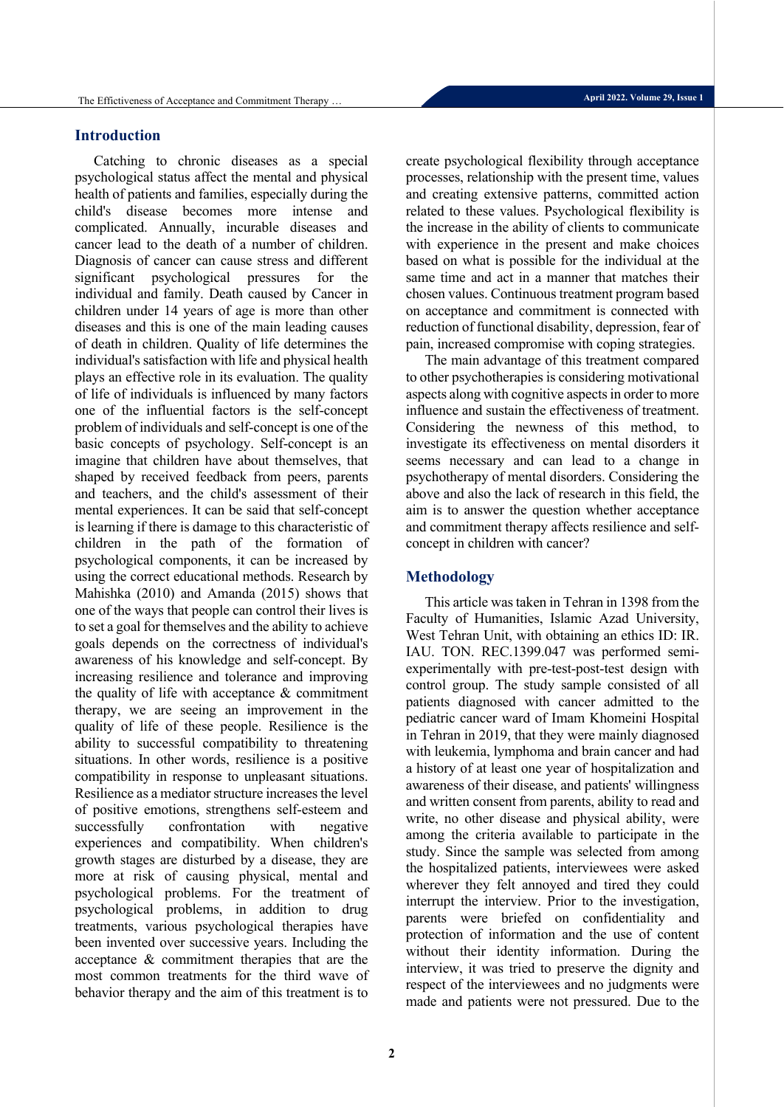## **Introduction**

Catching to chronic diseases as a special psychological status affect the mental and physical health of patients and families, especially during the child's disease becomes more intense and complicated. Annually, incurable diseases and cancer lead to the death of a number of children. Diagnosis of cancer can cause stress and different significant psychological pressures for the individual and family. Death caused by Cancer in children under 14 years of age is more than other diseases and this is one of the main leading causes of death in children. Quality of life determines the individual's satisfaction with life and physical health plays an effective role in its evaluation. The quality of life of individuals is influenced by many factors one of the influential factors is the self-concept problem of individuals and self-concept is one of the basic concepts of psychology. Self-concept is an imagine that children have about themselves, that shaped by received feedback from peers, parents and teachers, and the child's assessment of their mental experiences. It can be said that self-concept is learning if there is damage to this characteristic of children in the path of the formation of psychological components, it can be increased by using the correct educational methods. Research by Mahishka (2010) and Amanda (2015) shows that one of the ways that people can control their lives is to set a goal for themselves and the ability to achieve goals depends on the correctness of individual's awareness of his knowledge and self-concept. By increasing resilience and tolerance and improving the quality of life with acceptance & commitment therapy, we are seeing an improvement in the quality of life of these people. Resilience is the ability to successful compatibility to threatening situations. In other words, resilience is a positive compatibility in response to unpleasant situations. Resilience as a mediator structure increases the level of positive emotions, strengthens self-esteem and successfully confrontation with negative experiences and compatibility. When children's growth stages are disturbed by a disease, they are more at risk of causing physical, mental and psychological problems. For the treatment of psychological problems, in addition to drug treatments, various psychological therapies have been invented over successive years. Including the acceptance & commitment therapies that are the most common treatments for the third wave of behavior therapy and the aim of this treatment is to

create psychological flexibility through acceptance processes, relationship with the present time, values and creating extensive patterns, committed action related to these values. Psychological flexibility is the increase in the ability of clients to communicate with experience in the present and make choices based on what is possible for the individual at the same time and act in a manner that matches their chosen values. Continuous treatment program based on acceptance and commitment is connected with reduction of functional disability, depression, fear of pain, increased compromise with coping strategies.

The main advantage of this treatment compared to other psychotherapies is considering motivational aspects along with cognitive aspects in order to more influence and sustain the effectiveness of treatment. Considering the newness of this method, to investigate its effectiveness on mental disorders it seems necessary and can lead to a change in psychotherapy of mental disorders. Considering the above and also the lack of research in this field, the aim is to answer the question whether acceptance and commitment therapy affects resilience and selfconcept in children with cancer?

## **Methodology**

This article was taken in Tehran in 1398 from the Faculty of Humanities, Islamic Azad University, West Tehran Unit, with obtaining an ethics ID: IR. IAU. TON. REC.1399.047 was performed semiexperimentally with pre-test-post-test design with control group. The study sample consisted of all patients diagnosed with cancer admitted to the pediatric cancer ward of Imam Khomeini Hospital in Tehran in 2019, that they were mainly diagnosed with leukemia, lymphoma and brain cancer and had a history of at least one year of hospitalization and awareness of their disease, and patients' willingness and written consent from parents, ability to read and write, no other disease and physical ability, were among the criteria available to participate in the study. Since the sample was selected from among the hospitalized patients, interviewees were asked wherever they felt annoyed and tired they could interrupt the interview. Prior to the investigation, parents were briefed on confidentiality and protection of information and the use of content without their identity information. During the interview, it was tried to preserve the dignity and respect of the interviewees and no judgments were made and patients were not pressured. Due to the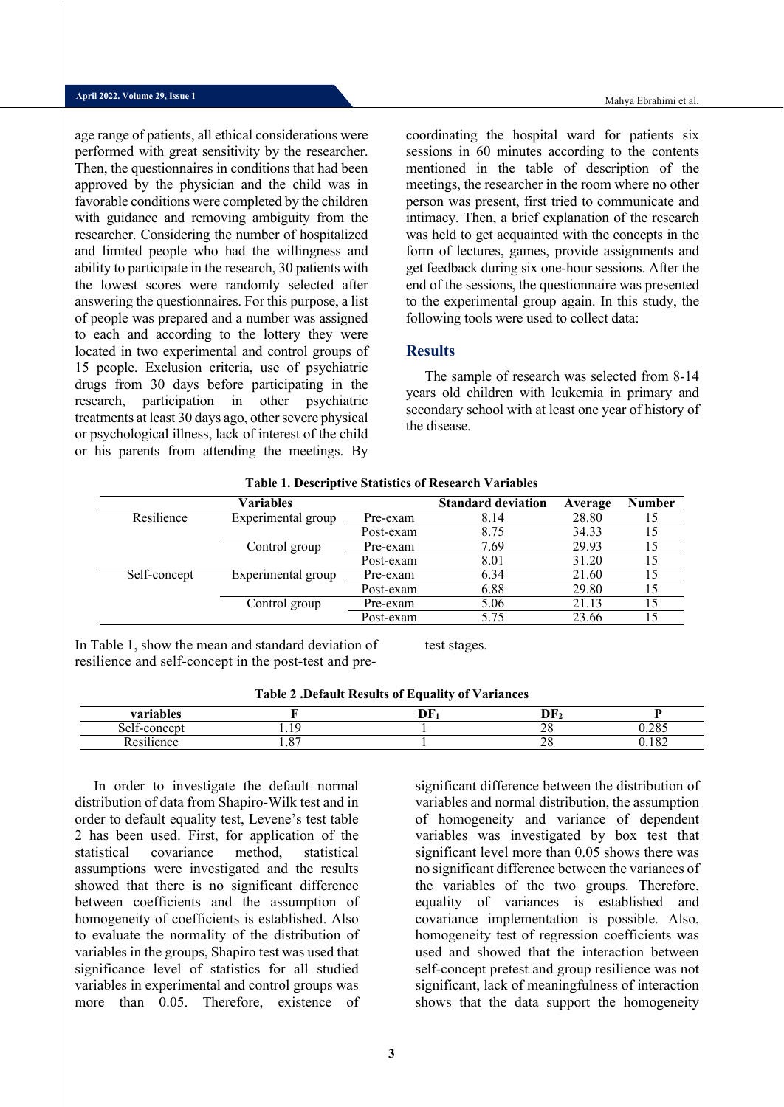Mahya Ebrahimi et al.

age range of patients, all ethical considerations were performed with great sensitivity by the researcher. Then, the questionnaires in conditions that had been approved by the physician and the child was in favorable conditions were completed by the children with guidance and removing ambiguity from the researcher. Considering the number of hospitalized and limited people who had the willingness and ability to participate in the research, 30 patients with the lowest scores were randomly selected after answering the questionnaires. For this purpose, a list of people was prepared and a number was assigned to each and according to the lottery they were located in two experimental and control groups of 15 people. Exclusion criteria, use of psychiatric drugs from 30 days before participating in the research, participation in other psychiatric treatments at least 30 days ago, other severe physical or psychological illness, lack of interest of the child or his parents from attending the meetings. By coordinating the hospital ward for patients six sessions in 60 minutes according to the contents mentioned in the table of description of the meetings, the researcher in the room where no other person was present, first tried to communicate and intimacy. Then, a brief explanation of the research was held to get acquainted with the concepts in the form of lectures, games, provide assignments and get feedback during six one-hour sessions. After the end of the sessions, the questionnaire was presented to the experimental group again. In this study, the following tools were used to collect data:

## **Results**

The sample of research was selected from 8-14 years old children with leukemia in primary and secondary school with at least one year of history of the disease.

|              |                    |           | Table 1. Descriptive buttistics of research variables |         |               |
|--------------|--------------------|-----------|-------------------------------------------------------|---------|---------------|
|              | Variables          |           | <b>Standard deviation</b>                             | Average | <b>Number</b> |
| Resilience   | Experimental group | Pre-exam  | 8.14                                                  | 28.80   |               |
|              |                    | Post-exam | 8.75                                                  | 34.33   |               |
|              | Control group      | Pre-exam  | 7.69                                                  | 29.93   |               |
|              |                    | Post-exam | 8.01                                                  | 31.20   |               |
| Self-concept | Experimental group | Pre-exam  | 6.34                                                  | 21.60   |               |
|              |                    | Post-exam | 6.88                                                  | 29.80   |               |
|              | Control group      | Pre-exam  | 5.06                                                  | 21.13   |               |
|              |                    | Post-exam | 5.75                                                  | 23.66   |               |

**Table 1. Descriptive Statistics of Research Variables**

In Table 1, show the mean and standard deviation of resilience and self-concept in the post-test and pretest stages.

| --<br>variables                                        |                   | $\sim$ $\sim$<br>≖ | --<br>. .                   |     |
|--------------------------------------------------------|-------------------|--------------------|-----------------------------|-----|
| $\sim$<br>ا ہ<br>$\sim$ $\sim$ $\sim$<br>,,            |                   |                    | $\sim$ $\sim$<br>40         | 206 |
| $\cdot\cdot\cdot$<br><sup>n</sup><br><b>D</b> oct<br>. | $\Omega$<br>. . v |                    | $\sim$ $\sim$<br>$\angle 0$ | م ہ |

In order to investigate the default normal distribution of data from Shapiro-Wilk test and in order to default equality test, Levene's test table 2 has been used. First, for application of the statistical covariance method, statistical assumptions were investigated and the results showed that there is no significant difference between coefficients and the assumption of homogeneity of coefficients is established. Also to evaluate the normality of the distribution of variables in the groups, Shapiro test was used that significance level of statistics for all studied variables in experimental and control groups was more than 0.05. Therefore, existence of

significant difference between the distribution of variables and normal distribution, the assumption of homogeneity and variance of dependent variables was investigated by box test that significant level more than 0.05 shows there was no significant difference between the variances of the variables of the two groups. Therefore, equality of variances is established and covariance implementation is possible. Also, homogeneity test of regression coefficients was used and showed that the interaction between self-concept pretest and group resilience was not significant, lack of meaningfulness of interaction shows that the data support the homogeneity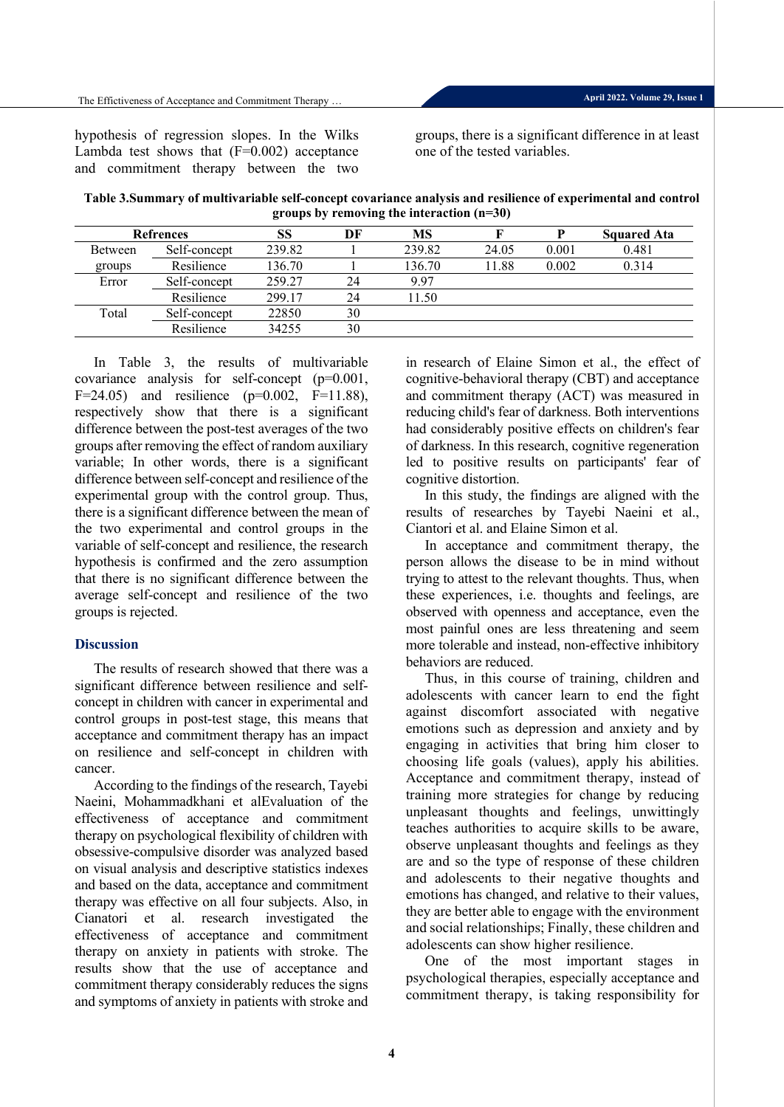hypothesis of regression slopes. In the Wilks Lambda test shows that  $(F=0.002)$  acceptance and commitment therapy between the two groups, there is a significant difference in at least one of the tested variables.

**Table 3.Summary of multivariable self-concept covariance analysis and resilience of experimental and control groups by removing the interaction (n=30)**

| <b>Refrences</b> |              | SS     | DF | MS     |       | P     | <b>Squared Ata</b> |
|------------------|--------------|--------|----|--------|-------|-------|--------------------|
| Between          | Self-concept | 239.82 |    | 239.82 | 24.05 | 0.001 | 0.481              |
| groups           | Resilience   | 136.70 |    | 136.70 | 11.88 | 0.002 | 0.314              |
| Error            | Self-concept | 259.27 | 24 | 9.97   |       |       |                    |
|                  | Resilience   | 299.17 | 24 | 1.50   |       |       |                    |
| Total            | Self-concept | 22850  | 30 |        |       |       |                    |
|                  | Resilience   | 34255  | 30 |        |       |       |                    |

In Table 3, the results of multivariable covariance analysis for self-concept (p=0.001, F=24.05) and resilience ( $p=0.002$ , F=11.88), respectively show that there is a significant difference between the post-test averages of the two groups after removing the effect of random auxiliary variable; In other words, there is a significant difference between self-concept and resilience of the experimental group with the control group. Thus, there is a significant difference between the mean of the two experimental and control groups in the variable of self-concept and resilience, the research hypothesis is confirmed and the zero assumption that there is no significant difference between the average self-concept and resilience of the two groups is rejected.

## **Discussion**

The results of research showed that there was a significant difference between resilience and selfconcept in children with cancer in experimental and control groups in post-test stage, this means that acceptance and commitment therapy has an impact on resilience and self-concept in children with cancer.

According to the findings of the research, Tayebi Naeini, Mohammadkhani et alEvaluation of the effectiveness of acceptance and commitment therapy on psychological flexibility of children with obsessive-compulsive disorder was analyzed based on visual analysis and descriptive statistics indexes and based on the data, acceptance and commitment therapy was effective on all four subjects. Also, in Cianatori et al. research investigated the effectiveness of acceptance and commitment therapy on anxiety in patients with stroke. The results show that the use of acceptance and commitment therapy considerably reduces the signs and symptoms of anxiety in patients with stroke and

in research of Elaine Simon et al., the effect of cognitive-behavioral therapy (CBT) and acceptance and commitment therapy (ACT) was measured in reducing child's fear of darkness. Both interventions had considerably positive effects on children's fear of darkness. In this research, cognitive regeneration led to positive results on participants' fear of cognitive distortion.

In this study, the findings are aligned with the results of researches by Tayebi Naeini et al., Ciantori et al. and Elaine Simon et al.

In acceptance and commitment therapy, the person allows the disease to be in mind without trying to attest to the relevant thoughts. Thus, when these experiences, i.e. thoughts and feelings, are observed with openness and acceptance, even the most painful ones are less threatening and seem more tolerable and instead, non-effective inhibitory behaviors are reduced.

Thus, in this course of training, children and adolescents with cancer learn to end the fight against discomfort associated with negative emotions such as depression and anxiety and by engaging in activities that bring him closer to choosing life goals (values), apply his abilities. Acceptance and commitment therapy, instead of training more strategies for change by reducing unpleasant thoughts and feelings, unwittingly teaches authorities to acquire skills to be aware, observe unpleasant thoughts and feelings as they are and so the type of response of these children and adolescents to their negative thoughts and emotions has changed, and relative to their values, they are better able to engage with the environment and social relationships; Finally, these children and adolescents can show higher resilience.

One of the most important stages in psychological therapies, especially acceptance and commitment therapy, is taking responsibility for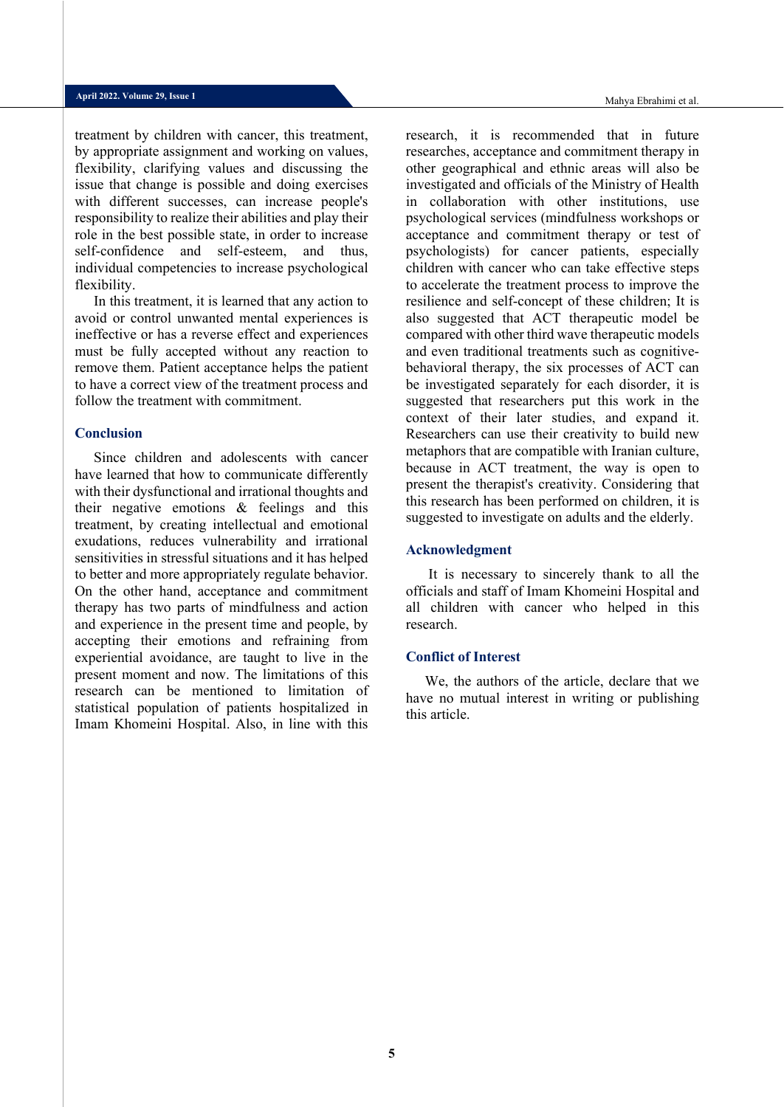treatment by children with cancer, this treatment, by appropriate assignment and working on values, flexibility, clarifying values and discussing the issue that change is possible and doing exercises with different successes, can increase people's responsibility to realize their abilities and play their role in the best possible state, in order to increase self-confidence and self-esteem, and thus, individual competencies to increase psychological flexibility.

In this treatment, it is learned that any action to avoid or control unwanted mental experiences is ineffective or has a reverse effect and experiences must be fully accepted without any reaction to remove them. Patient acceptance helps the patient to have a correct view of the treatment process and follow the treatment with commitment.

#### **Conclusion**

Since children and adolescents with cancer have learned that how to communicate differently with their dysfunctional and irrational thoughts and their negative emotions & feelings and this treatment, by creating intellectual and emotional exudations, reduces vulnerability and irrational sensitivities in stressful situations and it has helped to better and more appropriately regulate behavior. On the other hand, acceptance and commitment therapy has two parts of mindfulness and action and experience in the present time and people, by accepting their emotions and refraining from experiential avoidance, are taught to live in the present moment and now. The limitations of this research can be mentioned to limitation of statistical population of patients hospitalized in Imam Khomeini Hospital. Also, in line with this

research, it is recommended that in future researches, acceptance and commitment therapy in other geographical and ethnic areas will also be investigated and officials of the Ministry of Health in collaboration with other institutions, use psychological services (mindfulness workshops or acceptance and commitment therapy or test of psychologists) for cancer patients, especially children with cancer who can take effective steps to accelerate the treatment process to improve the resilience and self-concept of these children; It is also suggested that ACT therapeutic model be compared with other third wave therapeutic models and even traditional treatments such as cognitivebehavioral therapy, the six processes of ACT can be investigated separately for each disorder, it is suggested that researchers put this work in the context of their later studies, and expand it. Researchers can use their creativity to build new metaphors that are compatible with Iranian culture, because in ACT treatment, the way is open to present the therapist's creativity. Considering that this research has been performed on children, it is suggested to investigate on adults and the elderly.

#### **Acknowledgment**

It is necessary to sincerely thank to all the officials and staff of Imam Khomeini Hospital and all children with cancer who helped in this research.

#### **Conflict of Interest**

We, the authors of the article, declare that we have no mutual interest in writing or publishing this article.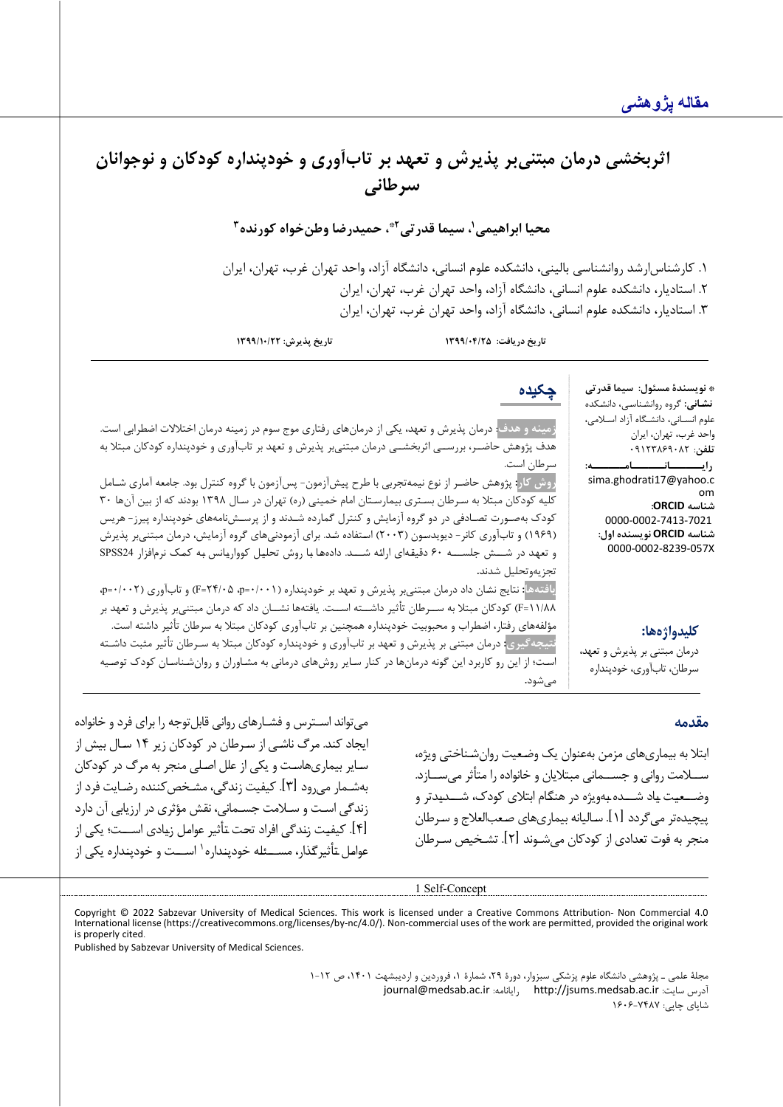# اثربخشي درمان مبتني بر پذيرش و تعهد بر تابآوري و خودپنداره کودکان و نوجوانان **سرطانی**

**1 محیا ابراهیمی 3 ، حمیدرضا وطنخواه کورنده 2\* ، سیما قدرتی**

.1 کارشناس ارشد روانشناسی بالینی، دانشکده علوم انسانی، دانشگاه آزاد، واحد تهران غرب، تهران، ا یران .2 استادیار، دانشکده علوم انسان ی، دانشگاه آزاد، واحد تهران غرب، تهران، ایران ۳. استادیار، دانشکده علوم انسانی، دانشگاه آزاد، واحد تهران غرب، تهران، ایران

**تاریخ دریافت: 1399/04/25 تاریخ پذیرش: 1399/10/22**

**چکیده**

علوم انسـانی، دانشـگاه آزاد اسـلامی، **رایــــــانــــــ امــــــ ه:**  sima.ghodrati17@yahoo.c **زمینه و هدف**: درمان پذیرش و تعهد، یکی از درمانهاي رفتاري موج سوم در زمینه درمان اختلالات اضطرابی است. هدف پژوهش حاضــر، بررســی اثربخشــی درمان مبتنیبر پذیرش و تعهد بر تابآوري و خودپنداره کودکان مبتلا به سرطان است. **روش کار:** پژوهش حاضـر از نوع نیمهتجربی با طرح پیشآزمون- پسآزمون با گروه کنترل بود. جامعه آماري شـامل

کلیه کودکان مبتلا به سـرطان بسـتري بیمارسـتان امام خمینی (ره) تهران در سـال 1398 بودند که از بین آنها 30 کودك بهصـورت تصـادفی در دو گروه آزمایش و کنترل گمارده شـدند و از پرسـشنامههاي خودپنداره پیرز- هریس (1969) و تابآوري کانر- دیویدسـون (2003) اسـتفاده شـد. براي آزمودنیهاي گروه آزمایش، درمان مبتنیبر پذیرش و تعهـد در شـــش جلســـه 60 دقیقـهاي ارائـه شـــد. دادههـا بـا روش تحلیـل کوواریـانس بـه کمـک نرمافزار 24SPSS تجزیهوتحلیل شدند**.**

**یافتهها:** نتایج نشـان داد درمان مبتنیبر پذیرش و تعهد بر خودپنداره (/001 0=p، /05 24=F (و تابآوري (/002 0=p، /88 11=F (کودکان مبتلا به ســرطان تأثیر داشــته اســت. یافتهها نشــان داد که درمان مبتنیبر پذیرش و تعهد بر مؤلفههاي رفتار، اضطراب و محبوبیت خودپنداره همچنین بر تابآوري کودکان مبتلا به سرطان تأثیر داشته است. **نتیجهگیري:** درمان مبتنی بر پذیرش و تعهد بر تابآوري و خودپنداره کودکان مبتلا به سـرطان تأثیر مثبت داشـته اسـت؛ از این رو کاربرد این گونه درمانها در کنار سـایر روشهاي درمانی به مشـاوران و روانشـناسـان کودك توصـیه میشود**.**

## **کلیدواژهها:**

درمان مبتنی بر پذیرش و تعهد، سرطان، تاب آوري، خودپنداره

[\\*](#page-5-0) **نویسندة مسئول: سیما قدرتی نشـانی:** گروه روانشـناسـی، دانشـکده

> واحد غرب، تهران، ایران **تلفن**: 09123869082

> > **شناسه ORCID:**

0000-0002-7413-7021 **شناسه ORCID نویسنده اول:** [0000-0002-8239-057X](https://orcid.org/0000-0002-8239-057X)

om

## **مقدمه**

ابتلا به بیماري هاي مزمن به عنوان یک وضـعیت روان شـناختی ویژه، ســلامت روانی و جســمانی مبتلایان و خانواده را متأثر می ســازد. وضــعیـت یـاد شـــده بـه ویژه در هنگـام ابتلاي کودك، شـــدیـدتر و پیچیده تر می گردد [۱]. سـالیانه بیماری های صـعبالعلاج و سـرطان منجر به فوت تعدادي از کودکان می شـوند [ 2] . تشـخیص سـرطان

می تواند اسـترس و فشـارهاي روانی قابل توجه را براي فرد و خانواده ایجاد کند. مرگ ناشـی از سـرطان در کودکان زیر 14 سـال بیش از سـایر بیماري هاسـت و یکی از علل اصـلی منجر به مرگ در کودکان به شـمار می رود [ 3] . کیفیت زندگی، مشـخص کننده رضـایت فرد از زندگی اسـت و سـلامت جسـمانی، نقش مؤثري در ارزیابی آن دارد [ 4] . کیفیـت زنـدگی افراد تحـت تـأثیر عوامـل زیـادي اســـت؛ یکی از عوامل ـتأثیر گذار، مســـئله خودپنداره` اســـت و خودپنداره یکی از

1 Self-Concept

<span id="page-5-0"></span>Copyright © 2022 Sabzevar University of Medical Sciences. This work is licensed under a Creative Commons Attribution- Non Commercial 4.0 International license (https://creativecommons.org/licenses/by-nc/4.0/). Non-commercial uses of the work are permitted, provided the original work is properly cited.

Published by Sabzevar University of Medical Sciences.

مجلۀ علمی ـ پژوهشی دانشگاه علوم پزشکی سبزوار، دورة ،29 شمارة ،1 فروردین و اردیبشهت ،1401 ص 1-12 [journal@medsab.ac.ir](mailto:journal@medsab.ac.ir) :رایانامه [http://jsums.medsab.ac.ir](http://jsums.medsab.ac.ir/) :سایت آدرس شاپاي چاپی: 1606-7487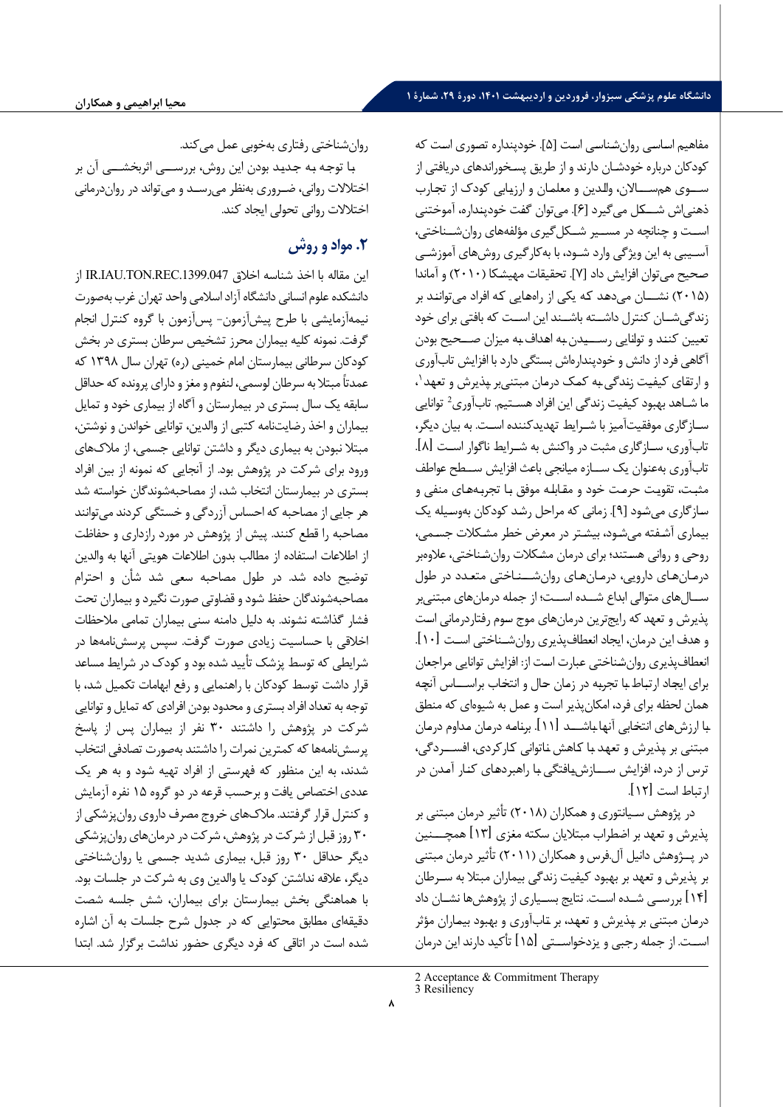مفاهیم اسـاسـی روان شـناسـی اسـت [5]. خودپنداره تصـوري اسـت که کودکان درباره خودشـان دارند و از طریق پسـخوراندهاي دریافتی از ســوي هم ســـالان، والـدین و معلمـان و ارزیـابی کودك از تجـارب ذهنی اش شــکـل می گیرد [6]. می توان گفـت خودپنـداره، آموختنی اســت و چنانچه در مســیر شــکل گیري مؤلفه هاي روان شــناختی، آسـیبی به این ویژگی وارد شـود، با به کارگیری روش های آموزشـی صـحیح می توان افزایش داد [7]. تحقیقات مهیشـکا ( 2010) و آماندا ( 2015) نشـــان می دهـد کـه یکی از راه هـایی کـه افراد می تواننـد بر زندگی شــان کنترل داشــته باشــند این اســت که بافتی براي خود تعیین کننـد و توانـایی رســیـدن بـه اهـداف بـه میزان صــحیح بودن آگاهی فرد از دانش و خودپنداره اش بستگی دارد با افزایش تاب آوري ، [1](#page-6-0) و ارتقـاي کیفیـت زنـدگی بـه کمـک درمـان مبتنی بر پـذیرش و تعهـد ما شــاهد بهبود کيفي[ت](#page-6-1) زندگي اين افراد هسـتيم. تابآوري<sup>2</sup> توانايي سـازگاري موفقیت آمیز با شـرایط تهدیدکننده اسـت. به بیان دیگر، تاب آوري، سـازگاري مثبت در واکنش به شـرایط ناگوار اسـت [ 8] . تاب آوري به عنوان یک ســازه میانجی باعث افزایش ســطح عواطف مثبـت، تقویـت حرمـت خود و مقـابلـه موفق بـا تجربـه هـاي منفی و سـازگاري می شـود [9]. زمانی که مراحل رشـد کودکان به وسـیله یک بیماري آشـفته می شـود، بیشـتر در معرض خطر مشـکلات جسـمی، روحی و روانی هسـتند؛ براي درمان مشـکلات روان شـناختی، علاوه بر درمـان هـاي دارویی، درمـان هـاي روان شــنـاختی متعـدد در طول ســال هاي متوالی ابداع شــده اســت؛ از جمله درمان هاي مبتنی بر پذیرش و تعهد که رایج ترین درمان هاي موج سـوم رفتاردرمانی اسـت و هدف این درمان، ایجاد انعطاف پذیري روان شـناختی اسـت [ 10] . انعطاف پذیري روان شـناختی عبارت اسـت از: افزایش توانایی مراجعان براي ایجـاد ارتبـاط بـا تجربـه در زمـان حـال و انتخـاب براســـاس آنچـه همان لحظه براي فرد، امکان پذیر است و عمل به شیوه اي که منطق بـا ارزش هـاي انتخـابی آنهـا بـاشـــد [ 11] . برنـامـه درمـان مـداوم درمـان مبتنی بر پـذیرش و تعهـد بـا کـاهش نـاتوانی کـارکردي، افســردگی، ترس از درد، افزایش ســـازش یـافتگی بـا راهبردهـاي کنـار آمـدن در ارتباط است [ 12] .

در پژوهش سـیانتوري و همکاران ( 2018) تأثیر درمان مبتنی بر پذیرش و تعهد بر اضطراب مبتلایان سکته مغزي [ 13] همچـــنین در پــژوهش دانیل آل.فرس و همکاران ( 2011) تأثیر درمان مبتنی بر پذیرش و تعهد بر بهبود کیفیت زندگی بیماران مبتلا به سـرطان [ 14] بررسـی شـده اسـت. نتایج بسـیاري از پژوهش ها نشـان داد درمـان مبتنی بر پـذیرش و تعهـد، بر تـاب آوري و بهبود بیمـاران مؤثر اســت. از جمله رجبی و یزدخواســتی [ 15] تأکید دارند این درمان

<span id="page-6-1"></span><span id="page-6-0"></span>3 Resiliency

روان شناختی رفتاري به خوبی عمل می کند.

بـا توجـه بـه جـدیـد بودن این روش، بررســی اثربخشــی آن بر اختلالات روانی، ضـروري به نظر می رسـد و می تواند در روان درمانی اختلالات روانی تحولی ایجاد کند .

# **.2 مواد و روش**

این مقاله با اخذ شناسه اخلاق IR.IAU.TON.REC.1399.047 از دانشکده علوم انسانی دانشگاه آزاد اسلامی واحد تهران غرب بهصورت نیمه آزمایشی با طرح پیش آزمون - پس آزمون با گروه کنترل انجام گرفت. نمونه کلیه بیماران محرز تشخیص سرطان بستري در بخش کودکان سرطانی بیمارستان امام خمینی (ره) تهران سال 1398 که عمدتاً مبتلا به سرطان لوسمی، لنفوم و مغز و داراي پرونده که حداقل سابقه یک سال بستري در بیمارستان و آگاه از بیماري خود و تمايل بیماران و اخذ رضایت نامه کتبی از والدین، توانایی خواندن و نوشتن، مبتلا نبودن به بیماري دیگر و داشتن توانایی جسمی، از ملاك هاي ورود براي شرکت در پژوهش بود. از آنجایی که نمونه از بین افراد بستري در بیمارستان انتخاب شد، از مصاحبه شوندگان خواسته شد هر جایی از مصاحبه که احساس آزردگی و خستگی کردند می توانند مصاحبه را قطع کنند. پیش از پژوهش در مورد رازداري و حفاظت از اطلاعات استفاده از مطالب بدون اطلاعات هویتی آنها به والدین توضیح داده شد. در طول مصاحبه سعی شد شأن و احترام مصاحبه شوندگان حفظ شود و قضاوتی صورت نگیرد و بیماران تحت فشار گذاشته نشوند. به دلیل دامنه سنی بیماران تمامی ملاحظات اخلاقی با حساسیت زیادي صورت گرفت. سپس پرسش نامه ها در شرایطی که توسط پزشک تأیید شده بود و کودك در شرایط مساعد قرار داشت توسط کودکان با راهنمایی و رفع ابهامات تکمیل شد، با توجه به تعداد افراد بستري و محدود بودن افرادي که تمایل و توانایی شرکت در پژوهش را داشتند 30 نفر از بیماران پس از پاسخ پرسش نامه ها که کمترین نمرات را داشتند به صورت تصادفی انتخاب شدند، به این منظور که فهرستی از افراد تهیه شود و به هر یک عددي اختصاص یافت و برحسب قرعه در دو گروه 15 نفره آزمایش و کنترل قرار گرفتند. ملاك هاي خروج مصرف داروي روان پزشکی از 30 روز قبل از شرکت در پژوهش، شرکت در درمان هاي روان پزشکی دیگر حداقل 30 روز قبل، بیماري شدید جسمی یا روان شناختی دیگر، علاقه نداشتن کودك یا والدین وي به شرکت در جلسات بود. با هماهنگی بخش بیمارستان براي بیماران، شش جلسه شصت دقیقهای مطابق محتوایی که در جدول شرح جلسات به آن اشاره شده است در اتاقی که فرد دیگري حضور نداشت برگزار شد. ابتدا

<sup>2</sup> Acceptance & Commitment Therapy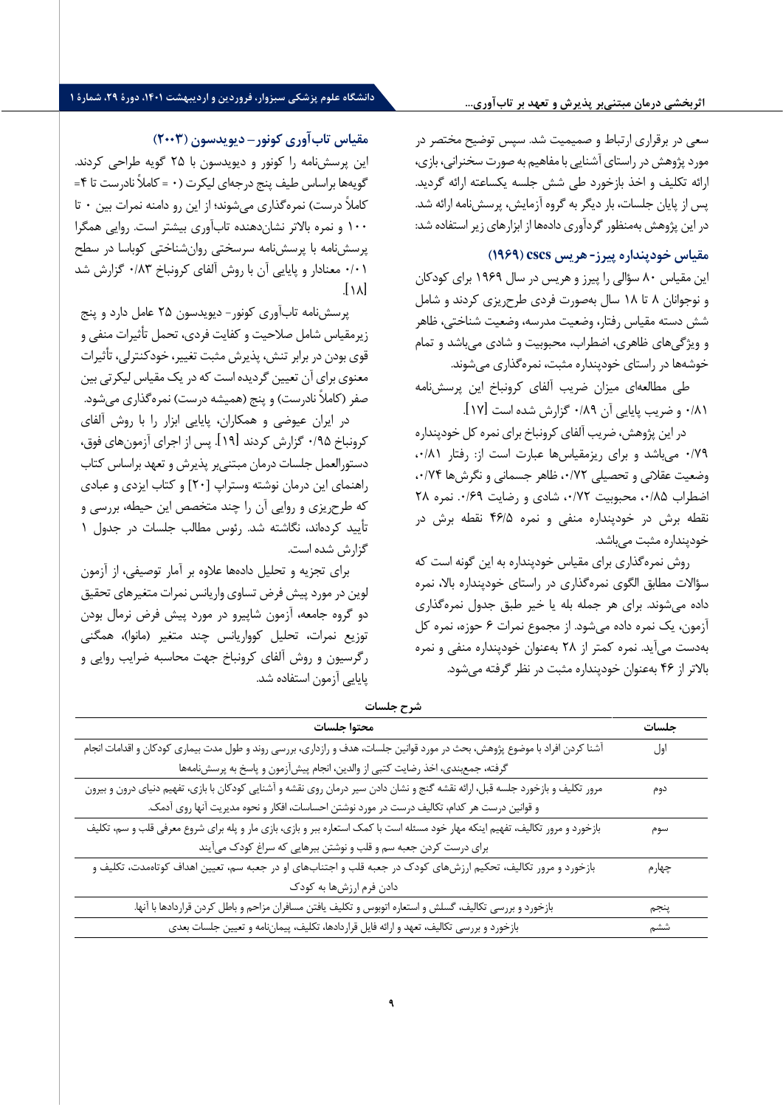**اثربخشی درمان مبتنیبر پذیرش و تعهد بر تابآوري...**

سعی در برقراري ارتباط و صمیمیت شد. سپس توضیح مختصر در مورد پژوهش در راستاي آشنایی با مفاهیم به صورت سخنرانی، بازي، ارائه تکلیف و اخذ بازخورد طی شش جلسه یکساعته ارائه گردید. پس از پایان جلسات، بار دیگر به گروه آزمایش، پرسش نامه ارائه شد. در این پژوهش بهمنظور گردآوري دادهها از ابزارهاي زیر استفاده شد:

## **مقیاس خودپنداره پیرز - هریس cscs ) 1969 (**

این مقیاس 80 سؤالی را پیرز و هریس در سال 1969 براي کودکان و نوجوانان 8 تا 18 سال به صورت فردي طرح ریزي کردند و شامل شش دسته مقیاس رفتار، وضعیت مدرسه، وضعیت شناختی، ظاهر و ویژگی هاي ظاهري، اضطراب، محبوبیت و شادي می باشد و تمام خوشه ها در راستاي خودپنداره مثبت، نمره گذاري می شوند.

طی مطالعهای میزان ضریب آلفای کرونباخ این پرسش نامه /81 0 و ضریب پایایی آن /89 0 گزارش شده است [ 17] .

 در این پژوهش، ضریب آلفاي کرونباخ براي نمره کل خودپنداره /79 0 می باشد و براي ریزمقیاس ها عبارت است از: رفتار /81 ،0 وضعیت عقلانی و تحصیلی /72 ،0 ظاهر جسمانی و نگرش ها /74 ،0 اضطراب ۰/۸۵، محبوبیت ۰/۷۲، شادی و رضایت ۰/۶۹. نمره ٢٨ نقطه برش در خودپنداره منفی و نم ره /5 46 نقطه برش در خودپنداره مثبت می باشد.

روش نمره گذاري براي مقیاس خودپنداره به این گونه است که سؤالات مطابق الگوي نمره گذاري در راستاي خودپنداره بالا، نمره داده می شوند. براي هر جمله بله یا خیر طبق جدول نمره گذاري آزمون، یک نمره داده می شود. از مجموع نمرات ۶ حوزه، نمره کل به دست می آید. نمره کمتر از 28 به عنوان خودپنداره منفی و نمره بالاتر از 46 به عنوان خودپنداره مثبت در نظر گرفته می شود.

## **مقیاس تاب آوري کونور – دیویدسون ( 2003)**

این پرسش نامه را کونور و دیویدسون با 25 گویه طراحی کردند. گویه ها براساس طیف پنج درجه اي لیکرت ( 0 = کاملاً نادرست تا 4= کاملاً درست) نمره گذاري می شوند؛ از این رو دامنه نمرات بین 0 تا 100 و نمره بالاتر نشان دهنده تاب آوري بیشتر است. روایی همگرا پرسش نامه با پرسش نامه سرسختی روان شناختی کوباسا در سطح /01 0 معنادار و پایایی آن با روش آلفاي کرونباخ /83 0 گزارش شد  $\overline{118}$ 

پرسش نامه تاب آوري کونور - دیویدسون 25 عامل دارد و پنج زی رمقیاس شامل صلاحیت و کفایت فردي، تحمل تأثیرات منفی و قوي بودن در برابر تنش، پذیرش مثبت تغییر، خودکنترلی، تأثیرات معنوي براي آن تعیین گردیده است که در یک مقیاس لیکرتی بین صفر (کاملاً نادرست) و پنج (همیشه درست) نمره گذاري می شود.

در ایران عیوضی و همکاران، پا یایی ابزار را با روش آلفاي کرونباخ /95 0 گزارش کردند [ 19] . پس از اجراي آز مون هاي فوق، دستورالعمل جلسات درمان مبتنی بر پذیرش و تعهد براساس کتاب راهنماي این درمان نوشته وستراپ [20] و کتاب ایزدي و عبادي که طرح ریزي و روایی آن را چند متخصص این حیطه، بررسی و تأیید کرده اند، نگاشته شد. رئوس مطالب جلسات در جدول 1 گزارش شده است.

براي تجزیه و تحلیل داده ها علاوه بر آمار توصیفی، از آزمون لوین در مورد پیش فرض تساوي واریانس نمرات متغیرهاي تحقیق دو گروه جامعه، آزمون شاپیرو در مورد پیش فرض نرمال بودن توزیع نمرات، تحلیل کوواریانس چند متغیر (مانوا)، همگنی رگرسیون و روش آلفاي کرونباخ جهت محاسبه ضرایب روایی و پایایی آزمون استفاده شد.

| شرح جلسات                                                                                                                       |       |
|---------------------------------------------------------------------------------------------------------------------------------|-------|
| محتوا جلسات                                                                                                                     | جلسات |
| آشنا کردن افراد با موضوع پژوهش، بحث در مورد قوانین جلسات، هدف و رازداری، بررسی روند و طول مدت بیماری کودکان و اقدامات انجام     | اول   |
| گرفته، جمعبندي، اخذ رضايت كتبي از والدين، انجام پيش[زمون و پاسخ به پرسشنامهها                                                   |       |
| مرور تکلیف و بازخورد جلسه قبل، ارائه نقشه گنج و نشان دادن سیر درمان روی نقشه و آشنایی کودکان با بازی، تفهیم دنیای درون و بیرون  | دوم   |
| و قوانین درست هر کدام، تکالیف درست در مورد نوشتن احساسات، افکار و نحوه مدیریت آنها روی آدمک.                                    |       |
| بازخورد و مرور تکالیف، تفهیم اینکه مهار خود مسئله است با کمک استعاره ببر و بازی، بازی مار و پله برای شروع معرفی قلب و سم، تکلیف | سوم   |
| برای درست کردن جعبه سم و قلب و نوشتن ببرهایی که سراغ کودک می آیند                                                               |       |
| بازخورد و مرور تکالیف، تحکیم ارزشهای کودک در جعبه قلب و اجتنابهای او در جعبه سم، تعیین اهداف کوتاهمدت، تکلیف و                  | چهارم |
| دادن فرم ارزشها به کودک                                                                                                         |       |
| بازخورد و بررسی تکالیف، گسلش و استعاره اتوبوس و تکلیف یافتن مسافران مزاحم و باطل کردن قراردادها با آنها.                        | پنجم  |
| بازخورد و بررسی تکالیف، تعهد و ارائه فایل قراردادها، تکلیف، پیماننامه و تعیین جلسات بعدی                                        | ششم   |
|                                                                                                                                 |       |

**شرح جلسات**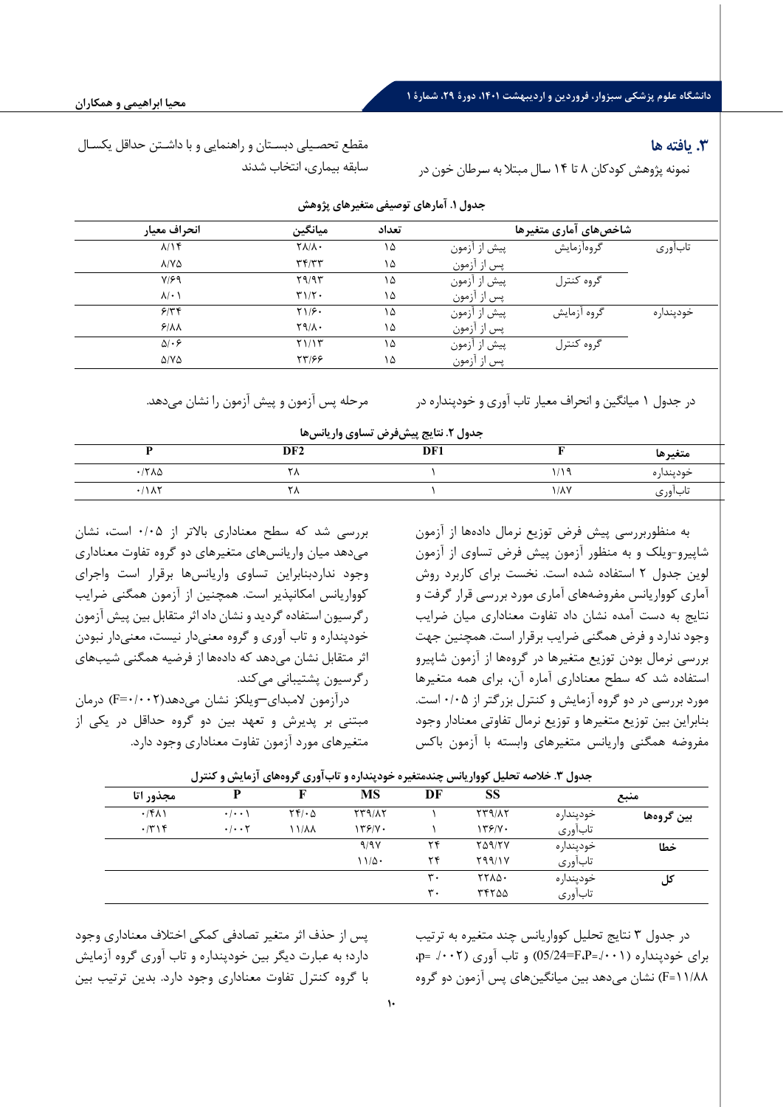#### **.3 یافته ها**

نمونه پژوهش کودکان 8 تا 14 سـال مبتلا به سـرطان خون در

مقطع تحصـیلی دبسـتان و راهنمایی و با داشـتن حداقل یکسـال سابقه بیماري، انتخاب شدند

| انحراف معيار             | ميانگين                      | تعداد |              | شاخصهای آماری متغیرها |           |
|--------------------------|------------------------------|-------|--------------|-----------------------|-----------|
| $\lambda/\lambda f$      | $\Upsilon \Lambda / \Lambda$ | ۱۵    | پیش از آزمون | گروهآزمایش            | تابأورى   |
| $\lambda/\Upsilon\Delta$ | Tf/TT                        | ۱۵    | پس از آزمون  |                       |           |
| $Y/\mathcal{F}$          | 59/97                        | ۱۵    | پیش از آزمون | گروه کنترل            |           |
| $\lambda$ / $\cdot$      | T1/T                         | ۱۵    | پس از آزمون  |                       |           |
| 5/77                     | $Y1/\mathcal{F}$             | ۱۵    | پیش از آزمون | گروه آزمایش           | خودپنداره |
| 9/AA                     | $Y9/\lambda$ .               | ۱۵    | پس از آزمون  |                       |           |
| $\Delta$ . ۶             | Y1/17                        | ۱۵    | پیش از آزمون | گروه کنترل            |           |
| $\Delta$ /Y $\Delta$     | 55199                        | ۱۵    | پس از آزمون  |                       |           |
|                          |                              |       |              |                       |           |

**جدول .1 آمارها ي توص یفی متغ یرهاي پژوهش** 

در جدول 1 میانگین و انحراف معیار تاب آوري و خودپنداره در مرحله پس آزمون و پیش آزمون را نشان می دهد.

**جدول .2 نتا یج پ یش فرض تساو ي وار یانس ها** 

| .--رن ۰۰-۰۰ یک پیش تر بن ---ری زاری-س |                 |     |               |           |  |
|---------------------------------------|-----------------|-----|---------------|-----------|--|
|                                       | DF <sub>2</sub> | DF1 |               | متغيرها   |  |
| $\cdot$ $ \rangle$ $\land$            |                 |     | 11c           | خودينداره |  |
| .11AT                                 | $\cdots$        |     | $1/\lambda Y$ | ىاباورى   |  |

به منظوربررسی پیش فرض توزیع نرمال دادهها از آزمون شاپیرو-ویلک و به منظور آزمون پیش فرض تساوي از آزمون لوین جدول 2 استفاده شده است. نخست براي کاربرد روش آماري کوواریانس مفروضه هاي آماري مورد بررسی قرار گرفت و نتایج به دست آمده نشان داد تفاوت معناداري میان ضرایب وجود ندارد و فرض همگنی ضرایب برقرار است. همچنین جهت بررسی نرمال بودن توزیع متغیرها در گروهها از آزمون شاپیرو استفاده شد که سطح معناداري آماره آن، براي همه متغیرها مورد بررسی در دو گروه آزمایش و کنترل بزرگتر از 0/05 است. بنابراین بین توزیع متغیرها و توزیع نرمال تفاوتی معنادار وجود مفروضه همگنی واریانس متغیرهاي وابسته با آزمون باکس

بررسی شد که سطح معناداري بالاتر از 0/05 است، نشان می دهد میان واریانس هاي متغیرهاي دو گروه تفاوت معناداري وجود نداردبنابراین تساوي واریانس ها برقرار است واجراي کوواریانس امکانپذیر است. همچنین از آزمون همگنی ضرایب رگرسیون استفاده گردید و نشان داد اثر متقابل بین پیش آزمون خودپنداره و تاب آوري و گروه معنی دار نیست، معنی دار نبودن اثر متقابل نشان می دهد که دادهها از فرضیه همگنی شیب هاي رگرسیون پشتیبانی می کند.

درآزمون لامبداي –ویلکز نشان می دهد(0/002=F (درمان مبتنی بر پدیرش و تعهد بین دو گروه حداقل در یکی از متغیرهاي مورد آزمون تفاوت معناداري وجود دارد.

| مجذور اتا    |                                   |                       | <b>MS</b>     | DF             | SS            | منبع      |            |
|--------------|-----------------------------------|-----------------------|---------------|----------------|---------------|-----------|------------|
| $\cdot$ /۴۸۱ | $\cdot$ / $\cdot$ \               | $\tau f \cdot \Delta$ | <b>TT9/17</b> |                | <b>TT9/17</b> | خودپنداره | بين گروهها |
| $\cdot$ /٣١۴ | $\cdot$ / $\cdot$ $\cdot$ $\cdot$ | ۱۱/۸۸                 | 179/7.        |                | 179/4         | تابآوري   |            |
|              |                                   |                       | 9/9Y          | ۲۴             | <b>TA917V</b> | خودپنداره | خطا        |
|              |                                   |                       | $11/\Delta$   | ۲۴             | Y99/1V        | تابآوري   |            |
|              |                                   |                       |               | $\mathbf{r}$ . | 1714.         | خودپنداره | کل         |
|              |                                   |                       |               | $\mathbf{r}$ . | 77700         | تابآوري   |            |

**جدول .3 خلاصه تحلیل کوواریانس چندمتغیره خودپنداره و تاب آوري گروه هاي آزمایش و کنترل** 

در جدول 3 نتایج تحلیل کوواریانس چند متغیره به ترتیب  $\phi =$  برای خودپنداره (./ $-F.P = (05/24 = F - 0)$ ) و تاب آوری (./001 =p 11/88=F (نشان می دهد بین میانگین هاي پس آزمون دو گروه

پس از حذف اثر متغیر تصادفی کمکی اختلاف معناداري وجود دارد؛ به عبارت دیگر بین خودپنداره و تاب آوري گروه آزمایش با گروه کنترل تفاوت معناداري وجود دارد. بدین ترتیب بین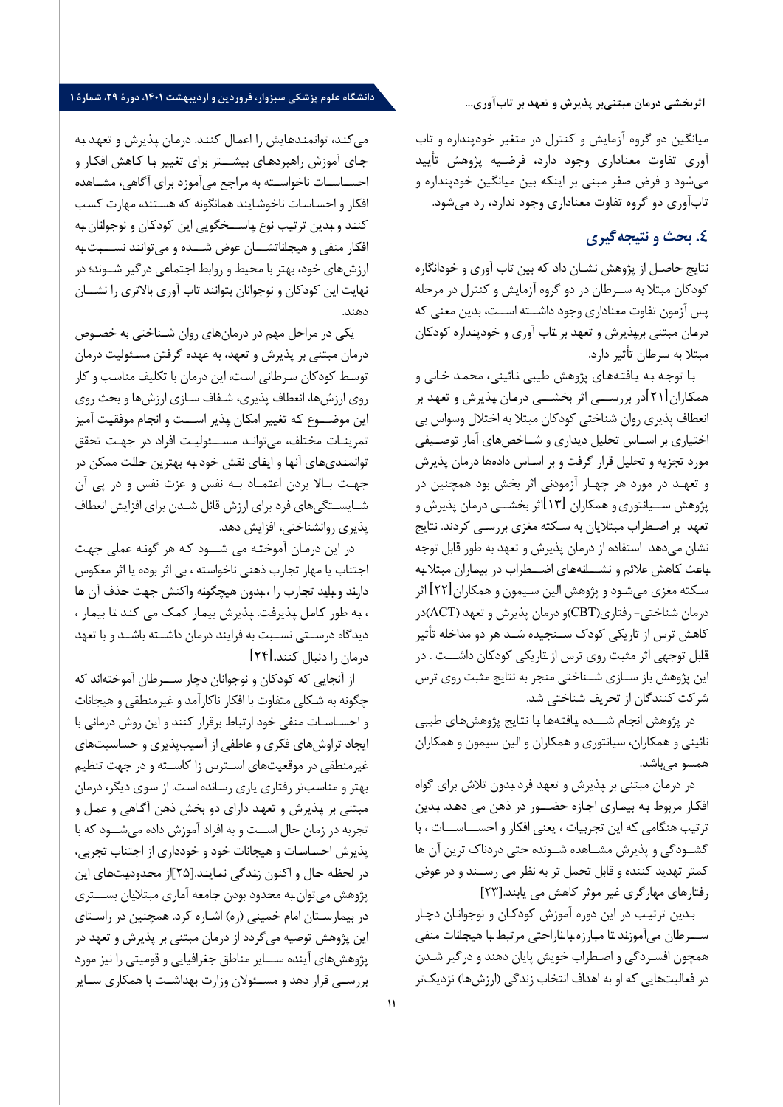## **اثربخشی درمان مبتنیبر پذیرش و تعهد بر تابآوري...**

میانگین دو گروه آزمایش و کنترل در متغیر خودپنداره و تاب آوري تفاوت معناداري وجود دارد، فرضـیه پژوهش تأیید می شود و فرض صفر مبنی بر اینکه بین میانگین خودپنداره و تابآوري دو گروه تفاوت معناداري وجود ندارد، رد میشود.

# **.4 بحث و نتیجهگیري**

نتایج حاصـل از پژوهش نشـان داد که بین تاب آوري و خودانگاره کودکان مبتلا به ســرطان در دو گروه آزمایش و کنترل در مرحله پس آزمون تفاوت معناداري وجود داشــته اســت، بدین معنی که درمـان مبتنی برپـذیرش و تعهـد بر تـاب آوري و خودپنـداره کودکـان مبتلا به سرطان تأثیر دارد.

بـا توجـه بـه یـافتـه هـاي پژوهش طیبی نـائینی، محمـد خـانی و همکـاران [ 21] در بررســـی اثر بخشـــی درمـان پـذیرش و تعهـد بر انعطاف پذیري روان شناختی کودکان مبتلا به اختلال وسواس بی اختیاري بر اســاس تحلیل دیداري و شــاخص هاي آمار توصــی فی مورد تجزیه و تحلیل قرار گرفت و بر اسـاس داده ها درمان پذیرش و تعهـد در مورد هر چهـار آزمودنی اثر بخش بود همچنین در پژوهش ســیانتوري و همکاران [۱۳]اثر بخشـــی درمان پذیرش و تعهد بر اضـطراب مبتلایان به سـکته مغزي بررسـی کردند. نتایج نشان می دهد استفاده از درمان پذیرش و تعهد به طور قابل توجه بـاعـث کـاهش علائم و نشـــانـه هـاي اضـــطراب در بیمـاران مبتلا بـه سـکته مغزي می شـود و پژوهش الین سـیمون و همکاران [ 22] اثر درمان شناختی - رفتاري( CBT(و درمان پذیرش و تعهد ( ACT(در کاهش ترس از تاریکی کودك ســنجیده شــد هر دو مداخله تأثیر قـابـل توجهی اثر مثبـت روي ترس از تـاریکی کودکـان داشـــت . در این پژوهش باز ســازي شــناختی منجر به نتایج مثبت روي ترس شرکت کنندگان از تحریف شناختی شد.

در پژوهش انجـام شـــده یـافتـه هـا بـا نتـایج پژوهش هـاي طیبی نائینی و همکاران، سیانتوري و همکاران و الین سیمون و همکاران همسو می باشد.

در درمـان مبتنی بر پـذیرش و تعهـد فرد بـدون تلاش براي گواه افکـار مربوط بـه بیمـاري اجـازه حضـــور در ذهن می دهـد. بـدین ترتیـب هنگـامی کـه این تجربیـات ، یعنی ا فکـار و احســـاســـات ، با گشــودگی و پذیرش مشــاهده شــونده حتی دردناك ترین آن ها کمتر تهدید کننده و قابل تحمل تر به نظر می رســند و در عوض رفتارهاي مهارگري غیر موثر کاهش می یابند . [23]

بـدین ترتیـب در این دوره آموزش کودکـان و نوجوانـان دچـار ســـرطـان می آموزنـد تـا مبـارزه بـا نـارا حتی مرتبط بـا هیجـانـات منفی همچون افسـردگی و اضـطراب خویش پایان دهند و درگیر شـدن در فعـالیت هایی که او به اهداف انتخاب زندگی (ارزش ها) نزدیک تر

می کنـد، توانمنـدهـایش را اعمـال کننـد. درمـان پـذیرش و تعهـد بـه جـاي آموزش راهبردهـاي بیشـــتر براي تغییر بـا کـاهش افکـار و احسـاسـات ناخواسـته به مراجع می آموزد براي آگاهی، مشـاهده افکار و احسـاسـات ناخوشـایند همانگونه که هسـتند، مهارت کسـب کننـد و بـدین ترتیـب نوع پـاســـخگویی این کودکـان و نوجوانـان بـه افکـار منفی و هیجـانـاتشـــان عوض شـــده و می تواننـد نســـبـت بـه ارزش هاي خود، بهتر با محیط و روابط اجتماعی درگ یر شــوند؛ در نهایت این کودکان و نوجوانان بتوانند تاب آوري بالاتري را نشــان دهند.

یکی در مراحل مهم در درمان هاي روان شـناختی به خصـوص درمان مبتنی بر پذیرش و تعهد، به عهده گرفتن مسـئولیت درمان توسـط کودکان سـرطانی اسـت، این درمان با تکلیف مناسـب و کار روي ارزش ها، انعطاف پذیري، شـفاف سـازي ارزش ها و بحث روي این موضـــوع کـه تغییر امکـان پـذیر اســـت و انجـام موفقیـت آمیز تمرینـات مختلف، می توانـد مســـئولیـت افراد در جهـت تحقق توانمنـدي هـاي آنهـا و ایفـاي نقش خود بـه بهترین حـالـت ممکن در جهـت بـالا بردن اعتـمـاد بـه نفس و عزت نفس و در پ ی آن شـایسـتگی هاي فرد براي ارزش قائل شـدن براي افزایش انعطاف پذیري روانشناختی، افزایش دهد.

در این درمـان آموختـه می شـــود کـه هر گونـه عملی جهـت اجتناب یا مهار تجارب ذهنی ناخواسته ، بی اثر بوده یا اثر معکوس دارنـد و بـایـد تجـارب را ، بـدون هیچگونـه واکنش جهـت حـذف آن هـا ، بـه طور کـامـل پـذیرفـت. پـذیرش بیمـار کمـک می کنـد تـا بیمـار ، دیدگاه درســتی نســبت به فرایند درمان داشــته باشــد و با تعهد درمان را دنبال کنند **.** [ 24]

از آنجایی که کودکان و نوجوانان دچار ســـرطان آموخته اند که چگونه به شـکلی متفاوت با افکار ناکارآمد و غیرمنطقی و هیجانات و احسـاسـات منفی خود ارتباط برقرار کنند و این روش درمانی با ایجاد تراوش هاي فکري و عاطفی از آسـیب پذیري و حساسیت هاي غیرمنطقی در موقعیت هاي اسـترس زا کاسـته و در جهت تنظیم بهتر و مناسـب تر رفتاري یاري رسـانده اسـت. از سـوي دیگر، درمان مبتنی بر پـذیرش و تعهـد داراي دو بخش ذهن آگـاهی و عمـل و تجربه در زمان حال اســت و به افراد آموزش داده می شــود که ب ا پذیرش احسـاسـات و هیجانات خود و خودداري از اجتناب تجربی، در لحظـه حـال و اکنون زنـدگی نمـاینـد. [25]از محـدودیـت هـاي این پژوهش می توان بـه محـدود بودن جـامعـه آمـاري مبتلایـان بســـتري در بیمارسـتان امام خمینی (ره) اشـاره کرد. همچنین در راسـتاي این پژوهش توصیه میگردد از درمان مبتنی بر پذیرش و تعهد در پژوهش هاي آینده ســایر مناطق جغرافیایی و قومیتی را نیز مورد بررســی قرار دهد و مســئولان وزارت بهداشــت با همکاري ســایر